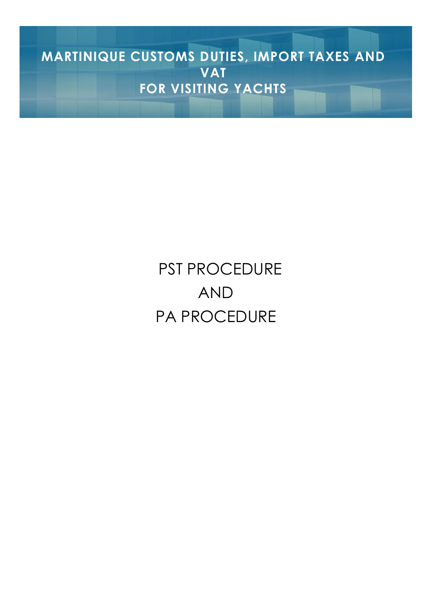**D'INFORMATIONSRÉSERVÉ AUX MARTINIQUE CUSTOMS DUTIES, IMPORT TAXES AND VAT FOR VISITING YACHTS**

**BULLET IN PAGE 1** 

# PST PROCEDURE AND PA PROCEDURE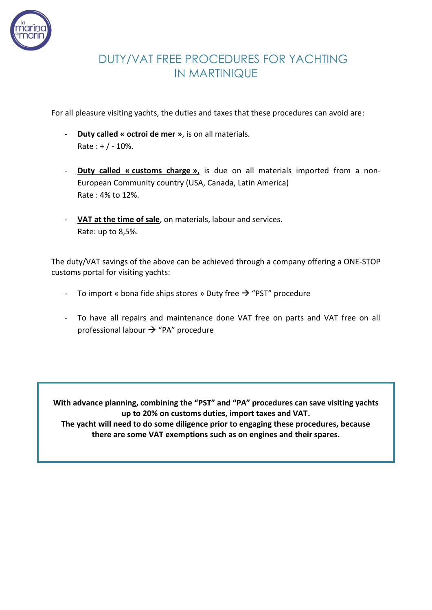

### DUTY/VAT FREE PROCEDURES FOR YACHTING IN MARTINIQUE

For all pleasure visiting yachts, the duties and taxes that these procedures can avoid are:

- **Duty called « octroi de mer »**, is on all materials.  $Rate : + / - 10%.$
- **Duty called « customs charge »,** is due on all materials imported from a non-European Community country (USA, Canada, Latin America) Rate : 4% to 12%.
- **VAT at the time of sale**, on materials, labour and services. Rate: up to 8,5%.

The duty/VAT savings of the above can be achieved through a company offering a ONE-STOP customs portal for visiting yachts:

- To import « bona fide ships stores » Duty free  $\rightarrow$  "PST" procedure
- To have all repairs and maintenance done VAT free on parts and VAT free on all professional labour  $\rightarrow$  "PA" procedure

**With advance planning, combining the "PST" and "PA" procedures can save visiting yachts up to 20% on customs duties, import taxes and VAT. The yacht will need to do some diligence prior to engaging these procedures, because there are some VAT exemptions such as on engines and their spares.**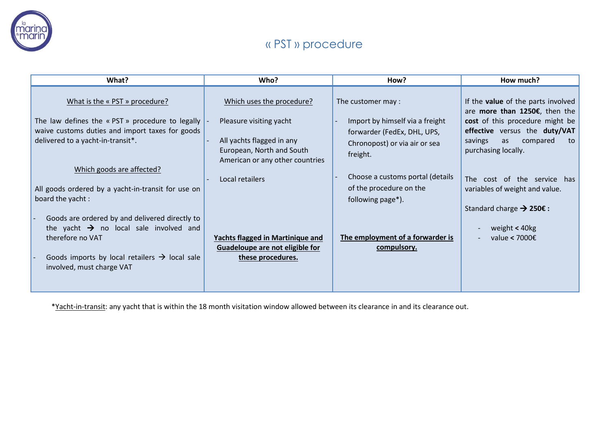

# **BULLARY ST & PST » procedure**

| What?                                                                                                                                                                                                                                                         | Who?                                                                                                                                                                 | How?                                                                                                                                                                                             | How much?                                                                                                                                                                                                                                                                 |
|---------------------------------------------------------------------------------------------------------------------------------------------------------------------------------------------------------------------------------------------------------------|----------------------------------------------------------------------------------------------------------------------------------------------------------------------|--------------------------------------------------------------------------------------------------------------------------------------------------------------------------------------------------|---------------------------------------------------------------------------------------------------------------------------------------------------------------------------------------------------------------------------------------------------------------------------|
| What is the « PST » procedure?<br>The law defines the « PST » procedure to legally<br>waive customs duties and import taxes for goods<br>delivered to a yacht-in-transit*.<br>Which goods are affected?<br>All goods ordered by a yacht-in-transit for use on | Which uses the procedure?<br>Pleasure visiting yacht<br>All yachts flagged in any<br>European, North and South<br>American or any other countries<br>Local retailers | The customer may :<br>Import by himself via a freight<br>forwarder (FedEx, DHL, UPS,<br>Chronopost) or via air or sea<br>freight.<br>Choose a customs portal (details<br>of the procedure on the | If the <b>value</b> of the parts involved<br>are more than 1250€, then the<br>cost of this procedure might be<br>effective versus the duty/VAT<br>compared<br>savings<br>as<br>to<br>purchasing locally.<br>The cost of the service has<br>variables of weight and value. |
| board the yacht:<br>Goods are ordered by and delivered directly to<br>the yacht $\rightarrow$ no local sale involved and<br>therefore no VAT<br>Goods imports by local retailers $\rightarrow$ local sale<br>involved, must charge VAT                        | <b>Yachts flagged in Martinique and</b><br>Guadeloupe are not eligible for<br>these procedures.                                                                      | following page*).<br>The employment of a forwarder is<br>compulsory.                                                                                                                             | Standard charge $\rightarrow$ 250€ :<br>weight < 40kg<br>value < 7000 $\epsilon$                                                                                                                                                                                          |

\*Yacht-in-transit: any yacht that is within the 18 month visitation window allowed between its clearance in and its clearance out.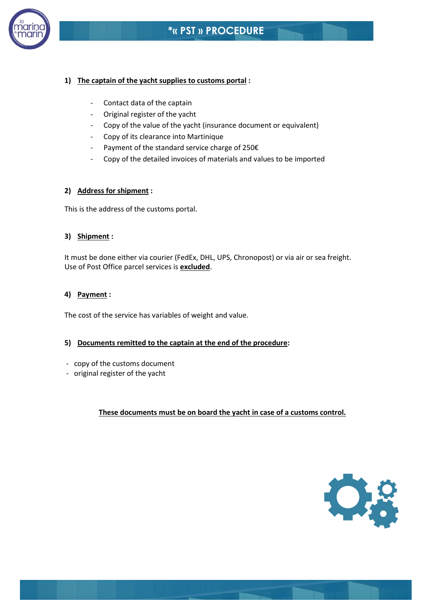

#### **1) The captain of the yacht supplies to customs portal :**

- Contact data of the captain
- Original register of the yacht
- Copy of the value of the yacht (insurance document or equivalent)
- Copy of its clearance into Martinique
- Payment of the standard service charge of 250€
- Copy of the detailed invoices of materials and values to be imported

#### **2) Address for shipment :**

This is the address of the customs portal.

#### **3) Shipment :**

It must be done either via courier (FedEx, DHL, UPS, Chronopost) or via air or sea freight. Use of Post Office parcel services is **excluded**.

#### **4) Payment :**

The cost of the service has variables of weight and value.

#### **5) Documents remitted to the captain at the end of the procedure:**

- copy of the customs document
- original register of the yacht

**These documents must be on board the yacht in case of a customs control.**

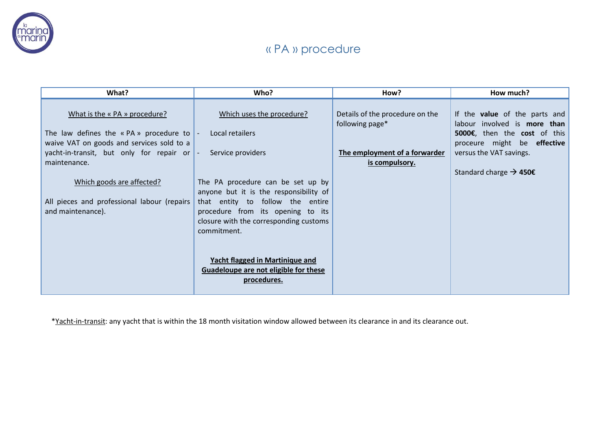

## « PA » procedure

| What?                                                                                              | Who?                                                                                                                           | How?                                               | How much?                                                            |
|----------------------------------------------------------------------------------------------------|--------------------------------------------------------------------------------------------------------------------------------|----------------------------------------------------|----------------------------------------------------------------------|
| What is the « PA » procedure?                                                                      | Which uses the procedure?                                                                                                      | Details of the procedure on the<br>following page* | If the <b>value</b> of the parts and<br>labour involved is more than |
| The law defines the $\kappa$ PA $\kappa$ procedure to<br>waive VAT on goods and services sold to a | Local retailers<br>$\mathbf{I}$                                                                                                |                                                    | 5000€, then the cost of this<br>proceure might be effective          |
| yacht-in-transit, but only for repair or<br>maintenance.                                           | Service providers<br>$\mathbf{I}$                                                                                              | The employment of a forwarder<br>is compulsory.    | versus the VAT savings.                                              |
|                                                                                                    |                                                                                                                                |                                                    | Standard charge $\rightarrow$ 450€                                   |
| Which goods are affected?                                                                          | The PA procedure can be set up by<br>anyone but it is the responsibility of                                                    |                                                    |                                                                      |
| All pieces and professional labour (repairs<br>and maintenance).                                   | that entity to follow the entire<br>procedure from its opening to its<br>closure with the corresponding customs<br>commitment. |                                                    |                                                                      |
|                                                                                                    | Yacht flagged in Martinique and<br>Guadeloupe are not eligible for these<br>procedures.                                        |                                                    |                                                                      |

\*Yacht-in-transit: any yacht that is within the 18 month visitation window allowed between its clearance in and its clearance out.